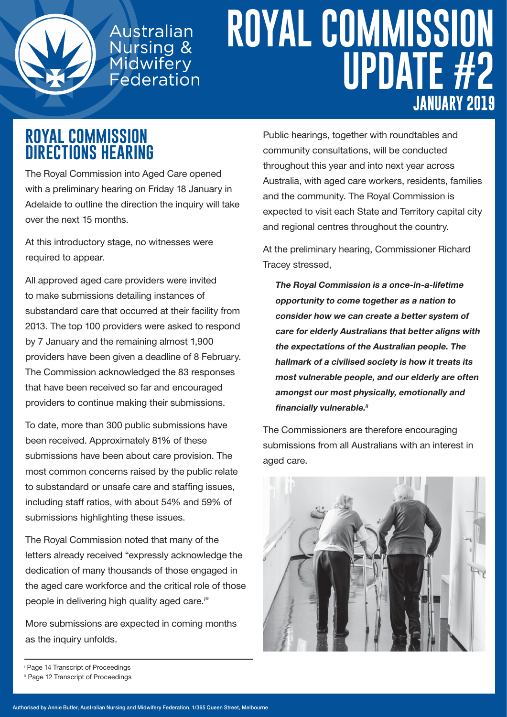

## **ROYAL COMMISSION UPDATE #2 JANUARY 2019**

#### **ROYAL COMMISSION DIRECTIONS HEARING**

The Royal Commission into Aged Care opened with a preliminary hearing on Friday 18 January in Adelaide to outline the direction the inquiry will take over the next 15 months.

Australian

Nursing &<br>Mursing &<br>Midwifery

Federation

At this introductory stage, no witnesses were required to appear.

All approved aged care providers were invited to make submissions detailing instances of substandard care that occurred at their facility from 2013. The top 100 providers were asked to respond by 7 January and the remaining almost 1,900 providers have been given a deadline of 8 February. The Commission acknowledged the 83 responses that have been received so far and encouraged providers to continue making their submissions.

To date, more than 300 public submissions have been received. Approximately 81% of these submissions have been about care provision. The most common concerns raised by the public relate to substandard or unsafe care and staffing issues, including staff ratios, with about 54% and 59% of submissions highlighting these issues.

The Royal Commission noted that many of the letters already received "expressly acknowledge the dedication of many thousands of those engaged in the aged care workforce and the critical role of those people in delivering high quality aged care.<sup>i</sup>"

More submissions are expected in coming months as the inquiry unfolds.

Public hearings, together with roundtables and community consultations, will be conducted throughout this year and into next year across Australia, with aged care workers, residents, families and the community. The Royal Commission is expected to visit each State and Territory capital city and regional centres throughout the country.

At the preliminary hearing, Commissioner Richard Tracey stressed,

The Royal Commission is a once-in-a-lifetime opportunity to come together as a nation to consider how we can create a better system of care for elderly Australians that better aligns with the expectations of the Australian people. The hallmark of a civilised society is how it treats its most vulnerable people, and our elderly are often amongst our most physically, emotionally and financially vulnerable.<sup>ii</sup>

The Commissioners are therefore encouraging submissions from all Australians with an interest in aged care.



i Page 14 Transcript of Proceedings

ii Page 12 Transcript of Proceedings